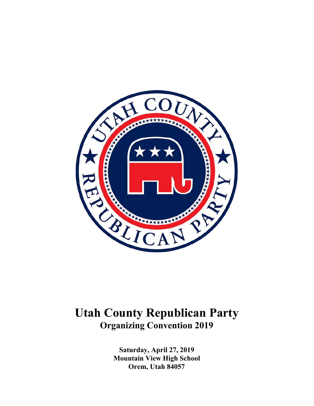

# **Utah County Republican Party Organizing Convention 2019**

**Saturday, April 27, 2019 Mountain View High School Orem, Utah 84057**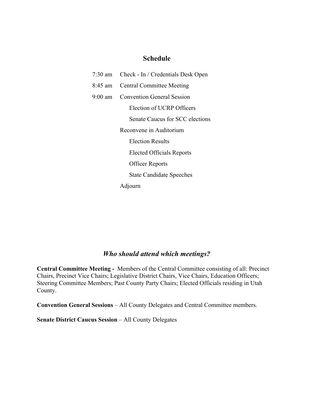# **Schedule**

|         | 7:30 am Check - In / Credentials Desk Open |  |
|---------|--------------------------------------------|--|
| 8:45 am | <b>Central Committee Meeting</b>           |  |
| 9:00 am | <b>Convention General Session</b>          |  |
|         | Election of UCRP Officers                  |  |
|         | Senate Caucus for SCC elections            |  |
|         | Reconvene in Auditorium                    |  |
|         | <b>Election Results</b>                    |  |
|         | <b>Elected Officials Reports</b>           |  |
|         | <b>Officer Reports</b>                     |  |
|         | <b>State Candidate Speeches</b>            |  |
|         | Adjourn                                    |  |

# *Who should attend which meetings?*

**Central Committee Meeting -** Members of the Central Committee consisting of all: Precinct Chairs, Precinct Vice Chairs; Legislative District Chairs, Vice Chairs, Education Officers; Steering Committee Members; Past County Party Chairs; Elected Officials residing in Utah County.

**Convention General Sessions** – All County Delegates and Central Committee members.

**Senate District Caucus Session** – All County Delegates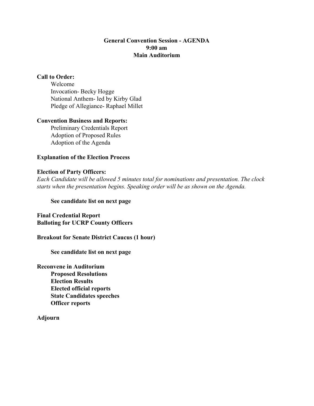# **General Convention Session - AGENDA 9:00 am Main Auditorium**

# **Call to Order:**

Welcome Invocation- Becky Hogge National Anthem- led by Kirby Glad Pledge of Allegiance- Raphael Millet

### **Convention Business and Reports:**

Preliminary Credentials Report Adoption of Proposed Rules Adoption of the Agenda

## **Explanation of the Election Process**

## **Election of Party Officers:**

*Each Candidate will be allowed 5 minutes total for nominations and presentation. The clock starts when the presentation begins. Speaking order will be as shown on the Agenda.*

### **See candidate list on next page**

**Final Credential Report Balloting for UCRP County Officers**

**Breakout for Senate District Caucus (1 hour)**

**See candidate list on next page**

**Reconvene in Auditorium Proposed Resolutions Election Results Elected official reports State Candidates speeches Officer reports**

**Adjourn**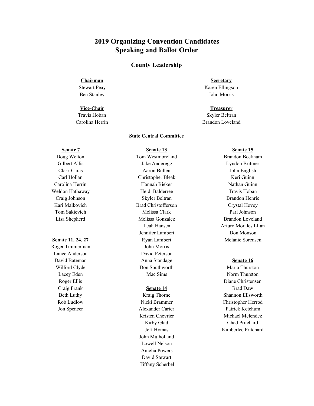# **2019 Organizing Convention Candidates Speaking and Ballot Order**

### **County Leadership**

#### **Chairman**

Stewart Peay Ben Stanley

#### **Vice-Chair**

Travis Hoban Carolina Herrin

#### **State Central Committee**

### **Senate 7**

Doug Welton Gilbert Allis Clark Caras Carl Hollan Carolina Herrin Weldon Hathaway Craig Johnson Kari Malkovich Tom Sakievich Lisa Shepherd

### **Senate 11, 24, 27**

Roger Timmerman Lance Anderson David Bateman Wilford Clyde Lacey Eden Roger Ellis Craig Frank Beth Luthy Rob Ludlow Jon Spencer

**Senate 13** Tom Westmoreland Jake Anderegg Aaron Bullen Christopher Bleak Hannah Bieker Heidi Balderree Skyler Beltran Brad Christofferson Melissa Clark Melissa Gonzalez Leah Hansen Jennifer Lambert Ryan Lambert John Morris David Peterson Anna Standage Don Southworth Mac Sims

#### **Senate 14**

Kraig Thorne Nicki Brammer Alexander Carter Kristen Chevrier Kirby Glad Jeff Hymas John Mulholland Lowell Nelson Amelia Powers David Stewart Tiffany Scherbel

**Secretary** Karen Ellingson John Morris

**Treasurer** Skyler Beltran Brandon Loveland

#### **Senate 15**

Brandon Beckham Lyndon Brittner John English Keri Guinn Nathan Guinn Travis Hoban Brandon Henrie Crystal Hovey Parl Johnson Brandon Loveland Arturo Morales LLan Don Monson Melanie Sorensen

#### **Senate 16**

Maria Thurston Norm Thurston Diane Christensen Brad Daw Shannon Ellsworth Christopher Herrod Patrick Ketchum Michael Melendez Chad Pritchard Kimberlee Pritchard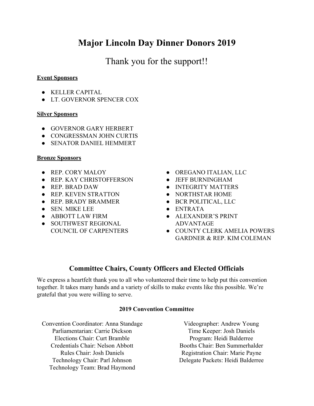# **Major Lincoln Day Dinner Donors 2019**

Thank you for the support!!

# **Event Sponsors**

- KELLER CAPITAL
- LT. GOVERNOR SPENCER COX

# **Silver Sponsors**

- GOVERNOR GARY HERBERT
- CONGRESSMAN JOHN CURTIS
- **SENATOR DANIEL HEMMERT**

# **Bronze Sponsors**

- REP. CORY MALOY
- REP. KAY CHRISTOFFERSON
- REP. BRAD DAW
- REP. KEVEN STRATTON
- REP. BRADY BRAMMER
- SEN. MIKE LEE
- ABBOTT LAW FIRM
- SOUTHWEST REGIONAL COUNCIL OF CARPENTERS
- OREGANO ITALIAN, LLC
- JEFF BURNINGHAM
- INTEGRITY MATTERS
- NORTHSTAR HOME
- BCR POLITICAL, LLC
- ENTRATA
- ALEXANDER'S PRINT ADVANTAGE
- COUNTY CLERK AMELIA POWERS GARDNER & REP. KIM COLEMAN

# **Committee Chairs, County Officers and Elected Officials**

We express a heartfelt thank you to all who volunteered their time to help put this convention together. It takes many hands and a variety of skills to make events like this possible. We're grateful that you were willing to serve.

# **2019 Convention Committee**

Convention Coordinator: Anna Standage Parliamentarian: Carrie Dickson Elections Chair: Curt Bramble Credentials Chair: Nelson Abbott Rules Chair: Josh Daniels Technology Chair: Parl Johnson Technology Team: Brad Haymond

Videographer: Andrew Young Time Keeper: Josh Daniels Program: Heidi Balderree Booths Chair: Ben Summerhalder Registration Chair: Marie Payne Delegate Packets: Heidi Balderree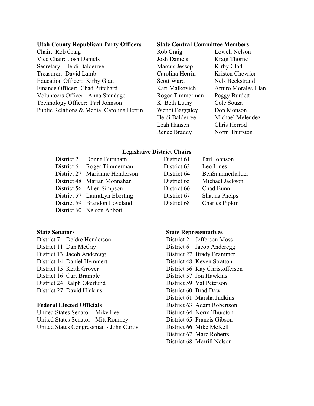### **Utah County Republican Party Officers**

Chair: Rob Craig Vice Chair: Josh Daniels Secretary: Heidi Balderree Treasurer: David Lamb Education Officer: Kirby Glad Finance Officer: Chad Pritchard Volunteers Officer: Anna Standage Technology Officer: Parl Johnson Public Relations & Media: Carolina Herrin

### **State Central Committee Members**

Rob Craig Lowell Nelson Josh Daniels Kraig Thorne Marcus Jessop Kirby Glad Carolina Herrin Kristen Chevrier Scott Ward Nels Beckstrand Roger Timmerman Peggy Burdett K. Beth Luthy Cole Souza Wendi Baggaley Don Monson Heidi Balderree Michael Melendez Leah Hansen Chris Herrod Renee Braddy Norm Thurston

Kari Malkovich Arturo Morales-Llan

## **Legislative District Chairs**

| District 2 Donna Burnham       | District 61 | Parl Johnson    |
|--------------------------------|-------------|-----------------|
| District 6 Roger Timmerman     | District 63 | Leo Lines       |
| District 27 Marianne Henderson | District 64 | BenSummerhalder |
| District 48 Marian Monnahan    | District 65 | Michael Jackson |
| District 56 Allen Simpson      | District 66 | Chad Bunn       |
| District 57 LauraLyn Eberting  | District 67 | Shauna Phelps   |
| District 59 Brandon Loveland   | District 68 | Charles Pipkin  |
| District 60 Nelson Abbott      |             |                 |

# **State Senators**

District 7 Deidre Henderson District 11 Dan McCay District 13 Jacob Anderegg District 14 Daniel Hemmert District 15 Keith Grover District 16 Curt Bramble District 24 Ralph Okerlund District 27 David Hinkins

# **Federal Elected Officials**

United States Senator - Mike Lee United States Senator - Mitt Romney United States Congressman - John Curtis

| istrict 61 | Parl Johnson    |
|------------|-----------------|
| istrict 63 | Leo Lines       |
| istrict 64 | BenSummerhalder |
| istrict 65 | Michael Jackson |
| istrict 66 | Chad Bunn       |
| istrict 67 | Shauna Phelps   |
| istrict 68 | Charles Pipkin  |

### **State Representatives**

District 2 Jefferson Moss District 6 Jacob Anderegg District 27 Brady Brammer District 48 Keven Stratton District 56 Kay Christofferson District 57 Jon Hawkins District 59 Val Peterson District 60 Brad Daw District 61 Marsha Judkins District 63 Adam Robertson District 64 Norm Thurston District 65 Francis Gibson District 66 Mike McKell District 67 Marc Roberts District 68 Merrill Nelson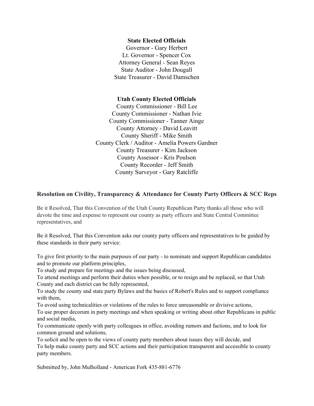## **State Elected Officials**

Governor - Gary Herbert Lt. Governor - Spencer Cox Attorney General - Sean Reyes State Auditor - John Dougall State Treasurer - David Damschen

## **Utah County Elected Officials**

County Commissioner - Bill Lee County Commissioner - Nathan Ivie County Commissioner - Tanner Ainge County Attorney - David Leavitt County Sheriff - Mike Smith County Clerk / Auditor - Amelia Powers Gardner County Treasurer - Kim Jackson County Assessor - Kris Poulson County Recorder - Jeff Smith County Surveyor - Gary Ratcliffe

# **Resolution on Civility, Transparency & Attendance for County Party Officers & SCC Reps**

Be it Resolved, That this Convention of the Utah County Republican Party thanks all those who will devote the time and expense to represent our county as party officers and State Central Committee representatives, and

Be it Resolved, That this Convention asks our county party officers and representatives to be guided by these standards in their party service:

To give first priority to the main purposes of our party - to nominate and support Republican candidates and to promote our platform principles,

To study and prepare for meetings and the issues being discussed,

To attend meetings and perform their duties when possible, or to resign and be replaced, so that Utah County and each district can be fully represented,

To study the county and state party Bylaws and the basics of Robert's Rules and to support compliance with them,

To avoid using technicalities or violations of the rules to force unreasonable or divisive actions,

To use proper decorum in party meetings and when speaking or writing about other Republicans in public and social media,

To communicate openly with party colleagues in office, avoiding rumors and factions, and to look for common ground and solutions,

To solicit and be open to the views of county party members about issues they will decide, and To help make county party and SCC actions and their participation transparent and accessible to county party members.

Submitted by, John Mulholland - American Fork 435-881-6776